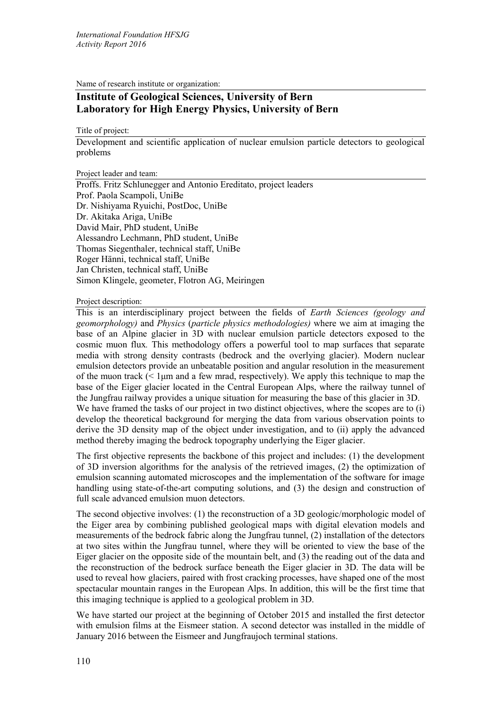Name of research institute or organization:

# **Institute of Geological Sciences, University of Bern Laboratory for High Energy Physics, University of Bern**

Title of project:

Development and scientific application of nuclear emulsion particle detectors to geological problems

Project leader and team:

Proffs. Fritz Schlunegger and Antonio Ereditato, project leaders Prof. Paola Scampoli, UniBe Dr. Nishiyama Ryuichi, PostDoc, UniBe Dr. Akitaka Ariga, UniBe David Mair, PhD student, UniBe Alessandro Lechmann, PhD student, UniBe Thomas Siegenthaler, technical staff, UniBe Roger Hänni, technical staff, UniBe Jan Christen, technical staff, UniBe Simon Klingele, geometer, Flotron AG, Meiringen

Project description:

This is an interdisciplinary project between the fields of *Earth Sciences (geology and geomorphology)* and *Physics* (*particle physics methodologies)* where we aim at imaging the base of an Alpine glacier in 3D with nuclear emulsion particle detectors exposed to the cosmic muon flux*.* This methodology offers a powerful tool to map surfaces that separate media with strong density contrasts (bedrock and the overlying glacier). Modern nuclear emulsion detectors provide an unbeatable position and angular resolution in the measurement of the muon track  $($  1 $\mu$ m and a few mrad, respectively). We apply this technique to map the base of the Eiger glacier located in the Central European Alps, where the railway tunnel of the Jungfrau railway provides a unique situation for measuring the base of this glacier in 3D. We have framed the tasks of our project in two distinct objectives, where the scopes are to (i) develop the theoretical background for merging the data from various observation points to derive the 3D density map of the object under investigation, and to (ii) apply the advanced method thereby imaging the bedrock topography underlying the Eiger glacier.

The first objective represents the backbone of this project and includes: (1) the development of 3D inversion algorithms for the analysis of the retrieved images, (2) the optimization of emulsion scanning automated microscopes and the implementation of the software for image handling using state-of-the-art computing solutions, and (3) the design and construction of full scale advanced emulsion muon detectors.

The second objective involves: (1) the reconstruction of a 3D geologic/morphologic model of the Eiger area by combining published geological maps with digital elevation models and measurements of the bedrock fabric along the Jungfrau tunnel, (2) installation of the detectors at two sites within the Jungfrau tunnel, where they will be oriented to view the base of the Eiger glacier on the opposite side of the mountain belt, and (3) the reading out of the data and the reconstruction of the bedrock surface beneath the Eiger glacier in 3D. The data will be used to reveal how glaciers, paired with frost cracking processes, have shaped one of the most spectacular mountain ranges in the European Alps. In addition, this will be the first time that this imaging technique is applied to a geological problem in 3D.

We have started our project at the beginning of October 2015 and installed the first detector with emulsion films at the Eismeer station. A second detector was installed in the middle of January 2016 between the Eismeer and Jungfraujoch terminal stations.